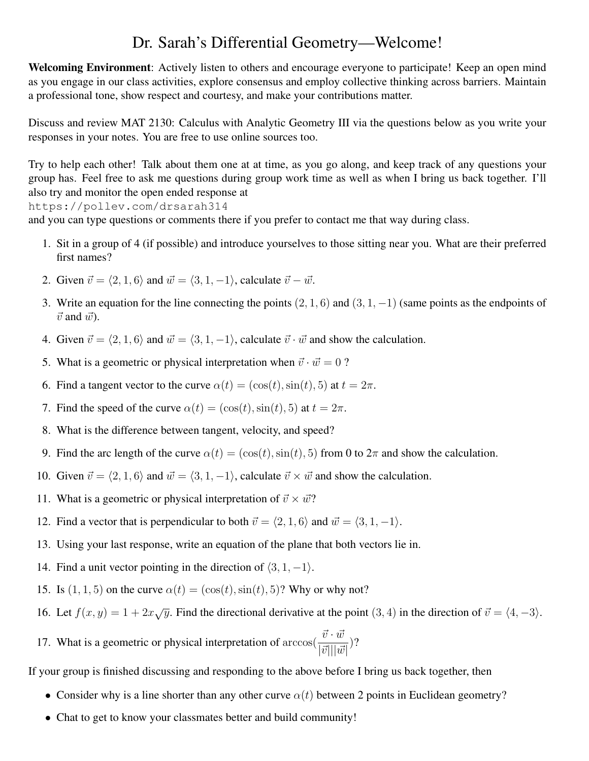## Dr. Sarah's Differential Geometry—Welcome!

Welcoming Environment: Actively listen to others and encourage everyone to participate! Keep an open mind as you engage in our class activities, explore consensus and employ collective thinking across barriers. Maintain a professional tone, show respect and courtesy, and make your contributions matter.

Discuss and review MAT 2130: Calculus with Analytic Geometry III via the questions below as you write your responses in your notes. You are free to use online sources too.

Try to help each other! Talk about them one at at time, as you go along, and keep track of any questions your group has. Feel free to ask me questions during group work time as well as when I bring us back together. I'll also try and monitor the open ended response at

https://pollev.com/drsarah314

and you can type questions or comments there if you prefer to contact me that way during class.

- 1. Sit in a group of 4 (if possible) and introduce yourselves to those sitting near you. What are their preferred first names?
- 2. Given  $\vec{v} = \langle 2, 1, 6 \rangle$  and  $\vec{w} = \langle 3, 1, -1 \rangle$ , calculate  $\vec{v} \vec{w}$ .
- 3. Write an equation for the line connecting the points  $(2, 1, 6)$  and  $(3, 1, -1)$  (same points as the endpoints of  $\vec{v}$  and  $\vec{w}$ ).
- 4. Given  $\vec{v} = \langle 2, 1, 6 \rangle$  and  $\vec{w} = \langle 3, 1, -1 \rangle$ , calculate  $\vec{v} \cdot \vec{w}$  and show the calculation.
- 5. What is a geometric or physical interpretation when  $\vec{v} \cdot \vec{w} = 0$  ?
- 6. Find a tangent vector to the curve  $\alpha(t) = (\cos(t), \sin(t), 5)$  at  $t = 2\pi$ .
- 7. Find the speed of the curve  $\alpha(t) = (\cos(t), \sin(t), 5)$  at  $t = 2\pi$ .
- 8. What is the difference between tangent, velocity, and speed?
- 9. Find the arc length of the curve  $\alpha(t) = (\cos(t), \sin(t), 5)$  from 0 to  $2\pi$  and show the calculation.
- 10. Given  $\vec{v} = \langle 2, 1, 6 \rangle$  and  $\vec{w} = \langle 3, 1, -1 \rangle$ , calculate  $\vec{v} \times \vec{w}$  and show the calculation.
- 11. What is a geometric or physical interpretation of  $\vec{v} \times \vec{w}$ ?
- 12. Find a vector that is perpendicular to both  $\vec{v} = \langle 2, 1, 6 \rangle$  and  $\vec{w} = \langle 3, 1, -1 \rangle$ .
- 13. Using your last response, write an equation of the plane that both vectors lie in.
- 14. Find a unit vector pointing in the direction of  $\langle 3, 1, -1 \rangle$ .
- 15. Is  $(1, 1, 5)$  on the curve  $\alpha(t) = (\cos(t), \sin(t), 5)$ ? Why or why not?
- 16. Let  $f(x, y) = 1 + 2x\sqrt{y}$ . Find the directional derivative at the point  $(3, 4)$  in the direction of  $\vec{v} = \langle 4, -3 \rangle$ .

17. What is a geometric or physical interpretation of  $\arccos(\frac{\vec{v} \cdot \vec{w}}{|\vec{v}|| |\vec{w}|})$ ?

If your group is finished discussing and responding to the above before I bring us back together, then

- Consider why is a line shorter than any other curve  $\alpha(t)$  between 2 points in Euclidean geometry?
- Chat to get to know your classmates better and build community!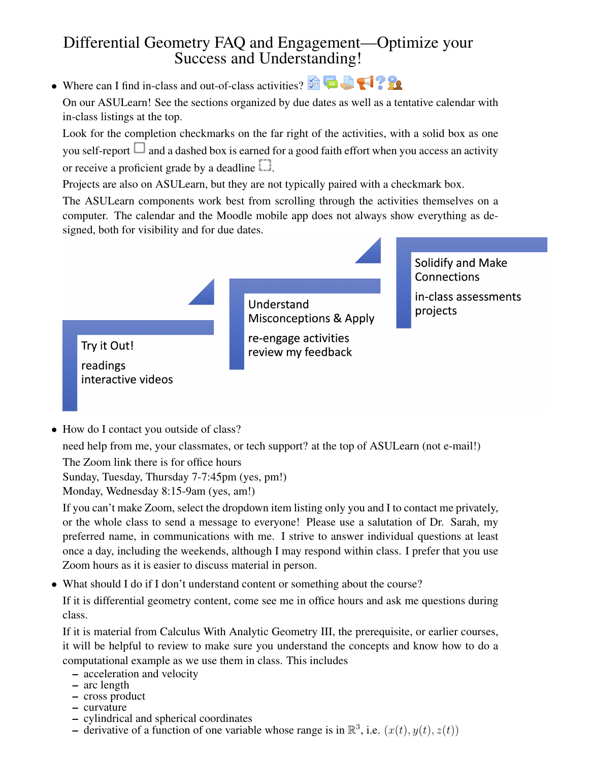## Differential Geometry FAQ and Engagement—Optimize your Success and Understanding!

• Where can I find in-class and out-of-class activities?

On our ASULearn! See the sections organized by due dates as well as a tentative calendar with in-class listings at the top.

Look for the completion checkmarks on the far right of the activities, with a solid box as one you self-report  $\Box$  and a dashed box is earned for a good faith effort when you access an activity or receive a proficient grade by a deadline  $\square$ .

Projects are also on ASULearn, but they are not typically paired with a checkmark box.

The ASULearn components work best from scrolling through the activities themselves on a computer. The calendar and the Moodle mobile app does not always show everything as designed, both for visibility and for due dates.

> **Understand Misconceptions & Apply** re-engage activities review my feedback

Solidify and Make Connections

in-class assessments projects

Try it Out!

readings interactive videos

• How do I contact you outside of class?

need help from me, your classmates, or tech support? at the top of ASULearn (not e-mail!)

The Zoom link there is for office hours

Sunday, Tuesday, Thursday 7-7:45pm (yes, pm!)

Monday, Wednesday 8:15-9am (yes, am!)

If you can't make Zoom, select the dropdown item listing only you and I to contact me privately, or the whole class to send a message to everyone! Please use a salutation of Dr. Sarah, my preferred name, in communications with me. I strive to answer individual questions at least once a day, including the weekends, although I may respond within class. I prefer that you use Zoom hours as it is easier to discuss material in person.

• What should I do if I don't understand content or something about the course?

If it is differential geometry content, come see me in office hours and ask me questions during class.

If it is material from Calculus With Analytic Geometry III, the prerequisite, or earlier courses, it will be helpful to review to make sure you understand the concepts and know how to do a computational example as we use them in class. This includes

- acceleration and velocity
- arc length
- cross product
- curvature
- cylindrical and spherical coordinates
- derivative of a function of one variable whose range is in  $\mathbb{R}^3$ , i.e.  $(x(t), y(t), z(t))$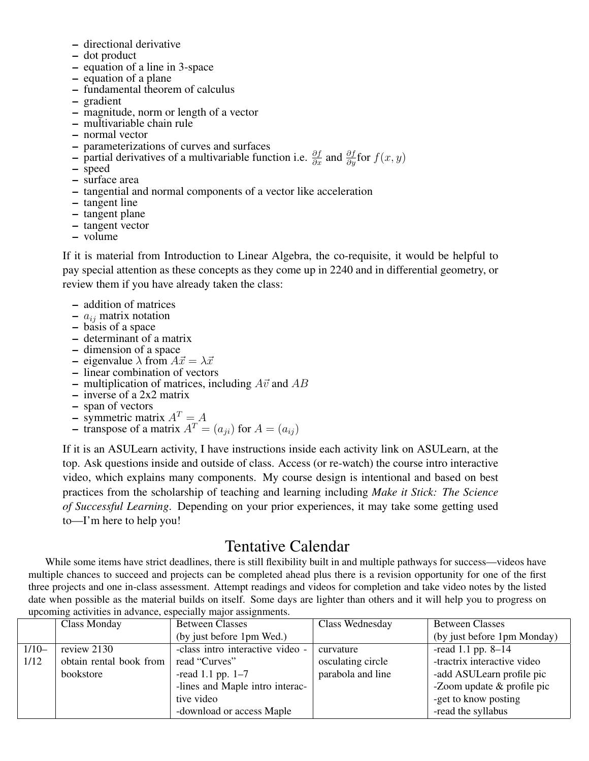- directional derivative
- dot product
- equation of a line in 3-space
- equation of a plane
- fundamental theorem of calculus
- gradient
- magnitude, norm or length of a vector
- multivariable chain rule
- normal vector
- parameterizations of curves and surfaces
- partial derivatives of a multivariable function i.e.  $\frac{\partial f}{\partial x}$  and  $\frac{\partial f}{\partial y}$  for  $f(x, y)$
- speed
- surface area
- tangential and normal components of a vector like acceleration
- tangent line
- tangent plane
- tangent vector
- volume

If it is material from Introduction to Linear Algebra, the co-requisite, it would be helpful to pay special attention as these concepts as they come up in 2240 and in differential geometry, or review them if you have already taken the class:

- addition of matrices
- $a_{ij}$  matrix notation
- basis of a space
- determinant of a matrix
- dimension of a space
- eigenvalue  $\lambda$  from  $A\vec{x} = \lambda \vec{x}$
- linear combination of vectors
- multiplication of matrices, including  $A\vec{v}$  and  $AB$
- inverse of a 2x2 matrix
- span of vectors
- symmetric matrix  $A<sup>T</sup> = A$
- transpose of a matrix  $A^T = (a_{ij})$  for  $A = (a_{ij})$

If it is an ASULearn activity, I have instructions inside each activity link on ASULearn, at the top. Ask questions inside and outside of class. Access (or re-watch) the course intro interactive video, which explains many components. My course design is intentional and based on best practices from the scholarship of teaching and learning including *Make it Stick: The Science of Successful Learning*. Depending on your prior experiences, it may take some getting used to—I'm here to help you!

## Tentative Calendar

While some items have strict deadlines, there is still flexibility built in and multiple pathways for success—videos have multiple chances to succeed and projects can be completed ahead plus there is a revision opportunity for one of the first three projects and one in-class assessment. Attempt readings and videos for completion and take video notes by the listed date when possible as the material builds on itself. Some days are lighter than others and it will help you to progress on upcoming activities in advance, especially major assignments.

|         | <b>Class Monday</b>     | <b>Between Classes</b>           | Class Wednesday   | <b>Between Classes</b>      |
|---------|-------------------------|----------------------------------|-------------------|-----------------------------|
|         |                         | (by just before 1pm Wed.)        |                   | (by just before 1pm Monday) |
| $1/10-$ | review 2130             | -class intro interactive video - | curvature         | -read 1.1 pp. $8-14$        |
| 1/12    | obtain rental book from | read "Curves"                    | osculating circle | -tractrix interactive video |
|         | bookstore               | -read 1.1 pp. $1-7$              | parabola and line | -add ASULearn profile pic   |
|         |                         | -lines and Maple intro interac-  |                   | -Zoom update & profile pic  |
|         |                         | tive video                       |                   | -get to know posting        |
|         |                         | -download or access Maple        |                   | -read the syllabus          |